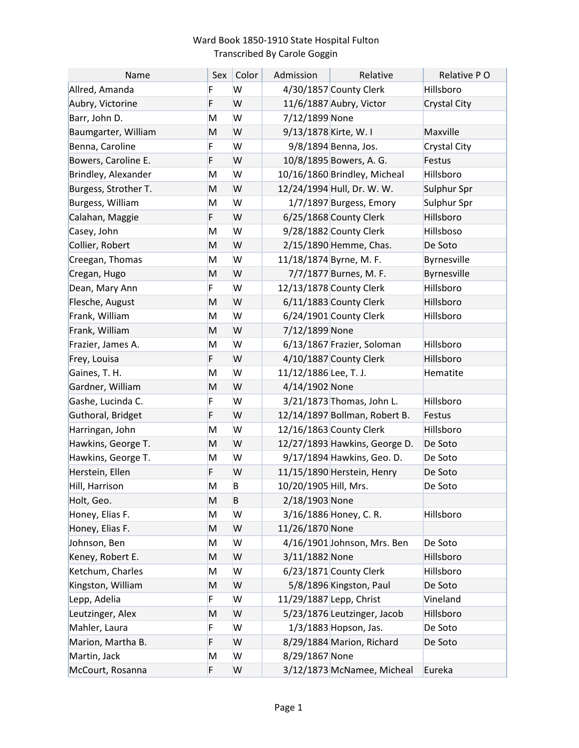## Ward Book 1850-1910 State Hospital Fulton Transcribed By Carole Goggin

| Name                 | Sex | Color | Admission               | Relative                      | Relative PO  |
|----------------------|-----|-------|-------------------------|-------------------------------|--------------|
| Allred, Amanda       | F   | W     |                         | 4/30/1857 County Clerk        | Hillsboro    |
| Aubry, Victorine     | F   | W     |                         | 11/6/1887 Aubry, Victor       | Crystal City |
| Barr, John D.        | Μ   | W     | 7/12/1899 None          |                               |              |
| Baumgarter, William  | M   | W     | 9/13/1878 Kirte, W. I   |                               | Maxville     |
| Benna, Caroline      | F   | W     |                         | 9/8/1894 Benna, Jos.          | Crystal City |
| Bowers, Caroline E.  | F   | W     |                         | 10/8/1895 Bowers, A. G.       | Festus       |
| Brindley, Alexander  | Μ   | W     |                         | 10/16/1860 Brindley, Micheal  | Hillsboro    |
| Burgess, Strother T. | M   | W     |                         | 12/24/1994 Hull, Dr. W. W.    | Sulphur Spr  |
| Burgess, William     | Μ   | W     |                         | 1/7/1897 Burgess, Emory       | Sulphur Spr  |
| Calahan, Maggie      | F   | W     |                         | 6/25/1868 County Clerk        | Hillsboro    |
| Casey, John          | Μ   | W     |                         | 9/28/1882 County Clerk        | Hillsboso    |
| Collier, Robert      | M   | W     |                         | 2/15/1890 Hemme, Chas.        | De Soto      |
| Creegan, Thomas      | Μ   | W     |                         | 11/18/1874 Byrne, M. F.       | Byrnesville  |
| Cregan, Hugo         | M   | W     |                         | 7/7/1877 Burnes, M. F.        | Byrnesville  |
| Dean, Mary Ann       | F   | W     |                         | 12/13/1878 County Clerk       | Hillsboro    |
| Flesche, August      | M   | W     |                         | 6/11/1883 County Clerk        | Hillsboro    |
| Frank, William       | Μ   | W     |                         | 6/24/1901 County Clerk        | Hillsboro    |
| Frank, William       | M   | W     | 7/12/1899 None          |                               |              |
| Frazier, James A.    | Μ   | W     |                         | 6/13/1867 Frazier, Soloman    | Hillsboro    |
| Frey, Louisa         | F   | W     |                         | 4/10/1887 County Clerk        | Hillsboro    |
| Gaines, T. H.        | Μ   | W     | 11/12/1886 Lee, T. J.   |                               | Hematite     |
| Gardner, William     | M   | W     | 4/14/1902 None          |                               |              |
| Gashe, Lucinda C.    | F   | W     |                         | 3/21/1873 Thomas, John L.     | Hillsboro    |
| Guthoral, Bridget    | F   | W     |                         | 12/14/1897 Bollman, Robert B. | Festus       |
| Harringan, John      | Μ   | W     |                         | 12/16/1863 County Clerk       | Hillsboro    |
| Hawkins, George T.   | M   | W     |                         | 12/27/1893 Hawkins, George D. | De Soto      |
| Hawkins, George T.   | Μ   | W     |                         | 9/17/1894 Hawkins, Geo. D.    | De Soto      |
| Herstein, Ellen      | F   | W     |                         | 11/15/1890 Herstein, Henry    | De Soto      |
| Hill, Harrison       | M   | B     | 10/20/1905 Hill, Mrs.   |                               | De Soto      |
| Holt, Geo.           | M   | B     | 2/18/1903 None          |                               |              |
| Honey, Elias F.      | Μ   | W     |                         | 3/16/1886 Honey, C. R.        | Hillsboro    |
| Honey, Elias F.      | M   | W     | 11/26/1870 None         |                               |              |
| Johnson, Ben         | Μ   | W     |                         | 4/16/1901 Johnson, Mrs. Ben   | De Soto      |
| Keney, Robert E.     | M   | W     | 3/11/1882 None          |                               | Hillsboro    |
| Ketchum, Charles     | Μ   | W     |                         | 6/23/1871 County Clerk        | Hillsboro    |
| Kingston, William    | M   | W     |                         | 5/8/1896 Kingston, Paul       | De Soto      |
| Lepp, Adelia         | F   | W     | 11/29/1887 Lepp, Christ |                               | Vineland     |
| Leutzinger, Alex     | M   | W     |                         | 5/23/1876 Leutzinger, Jacob   | Hillsboro    |
| Mahler, Laura        | F   | W     |                         | 1/3/1883 Hopson, Jas.         | De Soto      |
| Marion, Martha B.    | F   | W     |                         | 8/29/1884 Marion, Richard     | De Soto      |
| Martin, Jack         | Μ   | W     | 8/29/1867 None          |                               |              |
| McCourt, Rosanna     | F   | W     |                         | 3/12/1873 McNamee, Micheal    | Eureka       |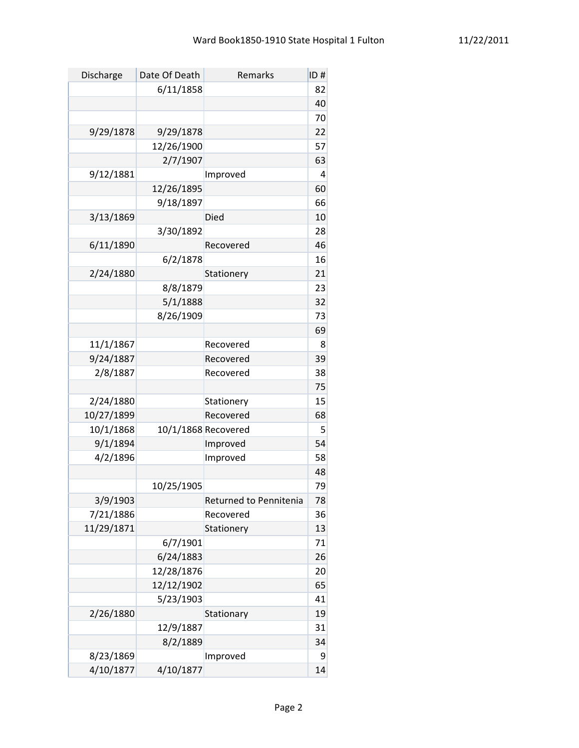| Discharge  | Date Of Death       | Remarks                | ID# |
|------------|---------------------|------------------------|-----|
|            | 6/11/1858           |                        | 82  |
|            |                     |                        | 40  |
|            |                     |                        | 70  |
| 9/29/1878  | 9/29/1878           |                        | 22  |
|            | 12/26/1900          |                        | 57  |
|            | 2/7/1907            |                        | 63  |
| 9/12/1881  |                     | Improved               | 4   |
|            | 12/26/1895          |                        | 60  |
|            | 9/18/1897           |                        | 66  |
| 3/13/1869  |                     | Died                   | 10  |
|            | 3/30/1892           |                        | 28  |
| 6/11/1890  |                     | Recovered              | 46  |
|            | 6/2/1878            |                        | 16  |
| 2/24/1880  |                     | Stationery             | 21  |
|            | 8/8/1879            |                        | 23  |
|            | 5/1/1888            |                        | 32  |
|            | 8/26/1909           |                        | 73  |
|            |                     |                        | 69  |
| 11/1/1867  |                     | Recovered              | 8   |
| 9/24/1887  |                     | Recovered              | 39  |
| 2/8/1887   |                     | Recovered              | 38  |
|            |                     |                        | 75  |
| 2/24/1880  |                     | Stationery             | 15  |
| 10/27/1899 |                     | Recovered              | 68  |
| 10/1/1868  | 10/1/1868 Recovered |                        | 5   |
| 9/1/1894   |                     | Improved               | 54  |
| 4/2/1896   |                     | Improved               | 58  |
|            |                     |                        | 48  |
|            | 10/25/1905          |                        | 79  |
| 3/9/1903   |                     | Returned to Pennitenia | 78  |
| 7/21/1886  |                     | Recovered              | 36  |
| 11/29/1871 |                     | Stationery             | 13  |
|            | 6/7/1901            |                        | 71  |
|            | 6/24/1883           |                        | 26  |
|            | 12/28/1876          |                        | 20  |
|            | 12/12/1902          |                        | 65  |
|            | 5/23/1903           |                        | 41  |
| 2/26/1880  |                     | Stationary             | 19  |
|            | 12/9/1887           |                        | 31  |
|            | 8/2/1889            |                        | 34  |
| 8/23/1869  |                     | Improved               | 9   |
| 4/10/1877  | 4/10/1877           |                        | 14  |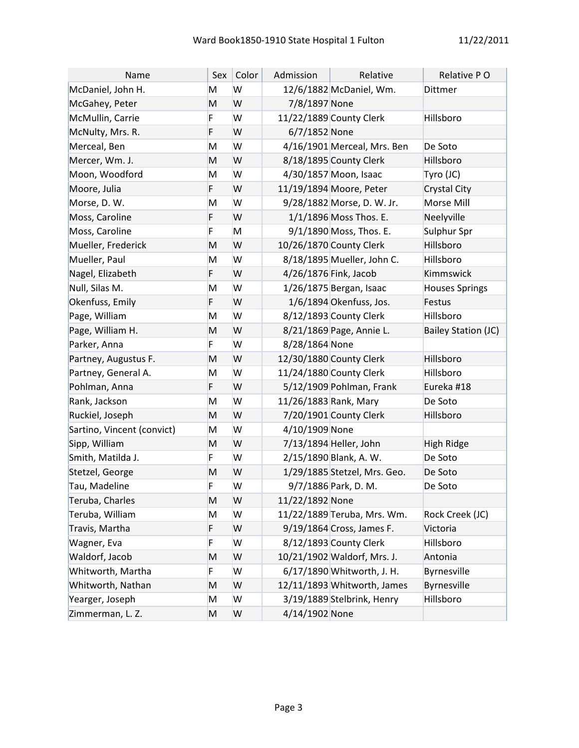| Name                       | Sex | Color | Admission             | Relative                     | Relative PO                |
|----------------------------|-----|-------|-----------------------|------------------------------|----------------------------|
| McDaniel, John H.          | M   | W     |                       | 12/6/1882 McDaniel, Wm.      | Dittmer                    |
| McGahey, Peter             | M   | W     | 7/8/1897 None         |                              |                            |
| McMullin, Carrie           | F   | W     |                       | 11/22/1889 County Clerk      | Hillsboro                  |
| McNulty, Mrs. R.           | F   | W     | 6/7/1852 None         |                              |                            |
| Merceal, Ben               | M   | W     |                       | 4/16/1901 Merceal, Mrs. Ben  | De Soto                    |
| Mercer, Wm. J.             | M   | W     |                       | 8/18/1895 County Clerk       | Hillsboro                  |
| Moon, Woodford             | M   | W     |                       | 4/30/1857 Moon, Isaac        | Tyro (JC)                  |
| Moore, Julia               | F   | W     |                       | 11/19/1894 Moore, Peter      | Crystal City               |
| Morse, D. W.               | M   | W     |                       | 9/28/1882 Morse, D. W. Jr.   | Morse Mill                 |
| Moss, Caroline             | F   | W     |                       | 1/1/1896 Moss Thos. E.       | Neelyville                 |
| Moss, Caroline             | F   | M     |                       | 9/1/1890 Moss, Thos. E.      | Sulphur Spr                |
| Mueller, Frederick         | M   | W     |                       | 10/26/1870 County Clerk      | Hillsboro                  |
| Mueller, Paul              | M   | W     |                       | 8/18/1895 Mueller, John C.   | Hillsboro                  |
| Nagel, Elizabeth           | F   | W     | 4/26/1876 Fink, Jacob |                              | Kimmswick                  |
| Null, Silas M.             | M   | W     |                       | 1/26/1875 Bergan, Isaac      | <b>Houses Springs</b>      |
| Okenfuss, Emily            | F   | W     |                       | 1/6/1894 Okenfuss, Jos.      | Festus                     |
| Page, William              | M   | W     |                       | 8/12/1893 County Clerk       | Hillsboro                  |
| Page, William H.           | M   | W     |                       | 8/21/1869 Page, Annie L.     | <b>Bailey Station (JC)</b> |
| Parker, Anna               | F   | W     | 8/28/1864 None        |                              |                            |
| Partney, Augustus F.       | M   | W     |                       | 12/30/1880 County Clerk      | Hillsboro                  |
| Partney, General A.        | M   | W     |                       | 11/24/1880 County Clerk      | Hillsboro                  |
| Pohlman, Anna              | F   | W     |                       | 5/12/1909 Pohlman, Frank     | Eureka #18                 |
| Rank, Jackson              | M   | W     | 11/26/1883 Rank, Mary |                              | De Soto                    |
| Ruckiel, Joseph            | M   | W     |                       | 7/20/1901 County Clerk       | Hillsboro                  |
| Sartino, Vincent (convict) | M   | W     | 4/10/1909 None        |                              |                            |
| Sipp, William              | M   | W     |                       | 7/13/1894 Heller, John       | High Ridge                 |
| Smith, Matilda J.          | F   | W     |                       | 2/15/1890 Blank, A. W.       | De Soto                    |
| Stetzel, George            | M   | W     |                       | 1/29/1885 Stetzel, Mrs. Geo. | De Soto                    |
| Tau, Madeline              | F   | W     |                       | 9/7/1886 Park, D. M.         | De Soto                    |
| Teruba, Charles            | M   | W     | 11/22/1892 None       |                              |                            |
| Teruba, William            | M   | W     |                       | 11/22/1889 Teruba, Mrs. Wm.  | Rock Creek (JC)            |
| Travis, Martha             | F   | W     |                       | 9/19/1864 Cross, James F.    | Victoria                   |
| Wagner, Eva                | F   | W     |                       | 8/12/1893 County Clerk       | Hillsboro                  |
| Waldorf, Jacob             | M   | W     |                       | 10/21/1902 Waldorf, Mrs. J.  | Antonia                    |
| Whitworth, Martha          | F   | W     |                       | 6/17/1890 Whitworth, J. H.   | Byrnesville                |
| Whitworth, Nathan          | M   | W     |                       | 12/11/1893 Whitworth, James  | Byrnesville                |
| Yearger, Joseph            | M   | W     |                       | 3/19/1889 Stelbrink, Henry   | Hillsboro                  |
| Zimmerman, L. Z.           | M   | W     | 4/14/1902 None        |                              |                            |